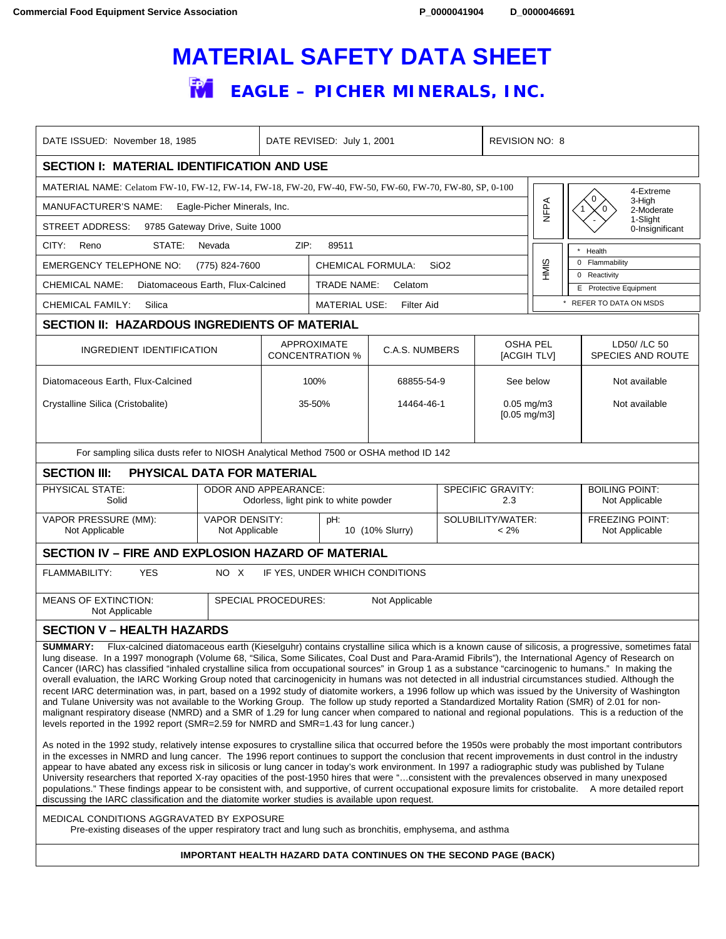## **MATERIAL SAFETY DATA SHEET FM** EAGLE – PICHER MINERALS, INC.

| DATE ISSUED: November 18, 1985                                                                                                                                                                                                                                                                                                                                                                                                                                                                                                                                                                                                                                                                                                                                                                                                                                                                                                                                                                                                                                                                                                                                                                                                                                                                                                                                                                                                                                                                                                                                                                                                                                                                                                                                                                                                                                                                                                                                                                                                                                                                       |                                                                                                        |                                              | DATE REVISED: July 1, 2001                              |            | <b>REVISION NO: 8</b>          |                                           |                                          |                                        |
|------------------------------------------------------------------------------------------------------------------------------------------------------------------------------------------------------------------------------------------------------------------------------------------------------------------------------------------------------------------------------------------------------------------------------------------------------------------------------------------------------------------------------------------------------------------------------------------------------------------------------------------------------------------------------------------------------------------------------------------------------------------------------------------------------------------------------------------------------------------------------------------------------------------------------------------------------------------------------------------------------------------------------------------------------------------------------------------------------------------------------------------------------------------------------------------------------------------------------------------------------------------------------------------------------------------------------------------------------------------------------------------------------------------------------------------------------------------------------------------------------------------------------------------------------------------------------------------------------------------------------------------------------------------------------------------------------------------------------------------------------------------------------------------------------------------------------------------------------------------------------------------------------------------------------------------------------------------------------------------------------------------------------------------------------------------------------------------------------|--------------------------------------------------------------------------------------------------------|----------------------------------------------|---------------------------------------------------------|------------|--------------------------------|-------------------------------------------|------------------------------------------|----------------------------------------|
| <b>SECTION I: MATERIAL IDENTIFICATION AND USE</b>                                                                                                                                                                                                                                                                                                                                                                                                                                                                                                                                                                                                                                                                                                                                                                                                                                                                                                                                                                                                                                                                                                                                                                                                                                                                                                                                                                                                                                                                                                                                                                                                                                                                                                                                                                                                                                                                                                                                                                                                                                                    |                                                                                                        |                                              |                                                         |            |                                |                                           |                                          |                                        |
| MATERIAL NAME: Celatom FW-10, FW-12, FW-14, FW-18, FW-20, FW-40, FW-50, FW-60, FW-70, FW-80, SP, 0-100<br>4-Extreme                                                                                                                                                                                                                                                                                                                                                                                                                                                                                                                                                                                                                                                                                                                                                                                                                                                                                                                                                                                                                                                                                                                                                                                                                                                                                                                                                                                                                                                                                                                                                                                                                                                                                                                                                                                                                                                                                                                                                                                  |                                                                                                        |                                              |                                                         |            |                                |                                           |                                          |                                        |
| MANUFACTURER'S NAME:<br>Eagle-Picher Minerals, Inc.                                                                                                                                                                                                                                                                                                                                                                                                                                                                                                                                                                                                                                                                                                                                                                                                                                                                                                                                                                                                                                                                                                                                                                                                                                                                                                                                                                                                                                                                                                                                                                                                                                                                                                                                                                                                                                                                                                                                                                                                                                                  |                                                                                                        |                                              |                                                         |            |                                | NFPA                                      | 0<br>3-High<br>2-Moderate                |                                        |
| 1-Slight<br>9785 Gateway Drive, Suite 1000<br>STREET ADDRESS:<br>0-Insignificant                                                                                                                                                                                                                                                                                                                                                                                                                                                                                                                                                                                                                                                                                                                                                                                                                                                                                                                                                                                                                                                                                                                                                                                                                                                                                                                                                                                                                                                                                                                                                                                                                                                                                                                                                                                                                                                                                                                                                                                                                     |                                                                                                        |                                              |                                                         |            |                                |                                           |                                          |                                        |
| CITY:<br>Reno<br>STATE:<br>Nevada                                                                                                                                                                                                                                                                                                                                                                                                                                                                                                                                                                                                                                                                                                                                                                                                                                                                                                                                                                                                                                                                                                                                                                                                                                                                                                                                                                                                                                                                                                                                                                                                                                                                                                                                                                                                                                                                                                                                                                                                                                                                    | ZIP:<br>89511                                                                                          |                                              |                                                         |            |                                | Health                                    |                                          |                                        |
| <b>EMERGENCY TELEPHONE NO:</b><br>(775) 824-7600                                                                                                                                                                                                                                                                                                                                                                                                                                                                                                                                                                                                                                                                                                                                                                                                                                                                                                                                                                                                                                                                                                                                                                                                                                                                                                                                                                                                                                                                                                                                                                                                                                                                                                                                                                                                                                                                                                                                                                                                                                                     |                                                                                                        | <b>CHEMICAL FORMULA:</b><br>SiO <sub>2</sub> |                                                         |            |                                | HMIS                                      | 0 Flammability                           |                                        |
| <b>CHEMICAL NAME:</b><br>Diatomaceous Earth, Flux-Calcined                                                                                                                                                                                                                                                                                                                                                                                                                                                                                                                                                                                                                                                                                                                                                                                                                                                                                                                                                                                                                                                                                                                                                                                                                                                                                                                                                                                                                                                                                                                                                                                                                                                                                                                                                                                                                                                                                                                                                                                                                                           |                                                                                                        |                                              | <b>TRADE NAME:</b><br>Celatom                           |            |                                |                                           |                                          | 0 Reactivity<br>E Protective Equipment |
| CHEMICAL FAMILY:<br>Silica                                                                                                                                                                                                                                                                                                                                                                                                                                                                                                                                                                                                                                                                                                                                                                                                                                                                                                                                                                                                                                                                                                                                                                                                                                                                                                                                                                                                                                                                                                                                                                                                                                                                                                                                                                                                                                                                                                                                                                                                                                                                           |                                                                                                        | <b>MATERIAL USE:</b><br>Filter Aid           |                                                         |            |                                |                                           | * REFER TO DATA ON MSDS                  |                                        |
| <b>SECTION II: HAZARDOUS INGREDIENTS OF MATERIAL</b>                                                                                                                                                                                                                                                                                                                                                                                                                                                                                                                                                                                                                                                                                                                                                                                                                                                                                                                                                                                                                                                                                                                                                                                                                                                                                                                                                                                                                                                                                                                                                                                                                                                                                                                                                                                                                                                                                                                                                                                                                                                 |                                                                                                        |                                              |                                                         |            |                                |                                           |                                          |                                        |
|                                                                                                                                                                                                                                                                                                                                                                                                                                                                                                                                                                                                                                                                                                                                                                                                                                                                                                                                                                                                                                                                                                                                                                                                                                                                                                                                                                                                                                                                                                                                                                                                                                                                                                                                                                                                                                                                                                                                                                                                                                                                                                      | INGREDIENT IDENTIFICATION                                                                              |                                              | APPROXIMATE<br>C.A.S. NUMBERS<br><b>CONCENTRATION %</b> |            | <b>OSHA PEL</b><br>[ACGIH TLV] |                                           | LD50/ /LC 50<br><b>SPECIES AND ROUTE</b> |                                        |
| Diatomaceous Earth, Flux-Calcined                                                                                                                                                                                                                                                                                                                                                                                                                                                                                                                                                                                                                                                                                                                                                                                                                                                                                                                                                                                                                                                                                                                                                                                                                                                                                                                                                                                                                                                                                                                                                                                                                                                                                                                                                                                                                                                                                                                                                                                                                                                                    |                                                                                                        |                                              | 100%                                                    | 68855-54-9 |                                | See below                                 |                                          | Not available                          |
| Crystalline Silica (Cristobalite)                                                                                                                                                                                                                                                                                                                                                                                                                                                                                                                                                                                                                                                                                                                                                                                                                                                                                                                                                                                                                                                                                                                                                                                                                                                                                                                                                                                                                                                                                                                                                                                                                                                                                                                                                                                                                                                                                                                                                                                                                                                                    |                                                                                                        |                                              | 35-50%                                                  | 14464-46-1 |                                | $0.05$ mg/m $3$<br>$[0.05 \text{ mg/m3}]$ |                                          | Not available                          |
| For sampling silica dusts refer to NIOSH Analytical Method 7500 or OSHA method ID 142                                                                                                                                                                                                                                                                                                                                                                                                                                                                                                                                                                                                                                                                                                                                                                                                                                                                                                                                                                                                                                                                                                                                                                                                                                                                                                                                                                                                                                                                                                                                                                                                                                                                                                                                                                                                                                                                                                                                                                                                                |                                                                                                        |                                              |                                                         |            |                                |                                           |                                          |                                        |
| <b>SECTION III:</b><br>PHYSICAL DATA FOR MATERIAL                                                                                                                                                                                                                                                                                                                                                                                                                                                                                                                                                                                                                                                                                                                                                                                                                                                                                                                                                                                                                                                                                                                                                                                                                                                                                                                                                                                                                                                                                                                                                                                                                                                                                                                                                                                                                                                                                                                                                                                                                                                    |                                                                                                        |                                              |                                                         |            |                                |                                           |                                          |                                        |
| PHYSICAL STATE:<br>Solid                                                                                                                                                                                                                                                                                                                                                                                                                                                                                                                                                                                                                                                                                                                                                                                                                                                                                                                                                                                                                                                                                                                                                                                                                                                                                                                                                                                                                                                                                                                                                                                                                                                                                                                                                                                                                                                                                                                                                                                                                                                                             | <b>ODOR AND APPEARANCE:</b><br><b>SPECIFIC GRAVITY:</b><br>Odorless, light pink to white powder<br>2.3 |                                              |                                                         |            |                                |                                           | <b>BOILING POINT:</b><br>Not Applicable  |                                        |
| VAPOR PRESSURE (MM):<br>Not Applicable                                                                                                                                                                                                                                                                                                                                                                                                                                                                                                                                                                                                                                                                                                                                                                                                                                                                                                                                                                                                                                                                                                                                                                                                                                                                                                                                                                                                                                                                                                                                                                                                                                                                                                                                                                                                                                                                                                                                                                                                                                                               | <b>VAPOR DENSITY:</b><br>Not Applicable                                                                |                                              | pH:<br>10 (10% Slurry)                                  |            | SOLUBILITY/WATER:<br>$< 2\%$   |                                           | <b>FREEZING POINT:</b><br>Not Applicable |                                        |
| <b>SECTION IV - FIRE AND EXPLOSION HAZARD OF MATERIAL</b>                                                                                                                                                                                                                                                                                                                                                                                                                                                                                                                                                                                                                                                                                                                                                                                                                                                                                                                                                                                                                                                                                                                                                                                                                                                                                                                                                                                                                                                                                                                                                                                                                                                                                                                                                                                                                                                                                                                                                                                                                                            |                                                                                                        |                                              |                                                         |            |                                |                                           |                                          |                                        |
| <b>YES</b><br><b>FLAMMABILITY:</b><br>NO X<br>IF YES, UNDER WHICH CONDITIONS                                                                                                                                                                                                                                                                                                                                                                                                                                                                                                                                                                                                                                                                                                                                                                                                                                                                                                                                                                                                                                                                                                                                                                                                                                                                                                                                                                                                                                                                                                                                                                                                                                                                                                                                                                                                                                                                                                                                                                                                                         |                                                                                                        |                                              |                                                         |            |                                |                                           |                                          |                                        |
| <b>SPECIAL PROCEDURES:</b><br><b>MEANS OF EXTINCTION:</b><br>Not Applicable<br>Not Applicable                                                                                                                                                                                                                                                                                                                                                                                                                                                                                                                                                                                                                                                                                                                                                                                                                                                                                                                                                                                                                                                                                                                                                                                                                                                                                                                                                                                                                                                                                                                                                                                                                                                                                                                                                                                                                                                                                                                                                                                                        |                                                                                                        |                                              |                                                         |            |                                |                                           |                                          |                                        |
| <b>SECTION V - HEALTH HAZARDS</b>                                                                                                                                                                                                                                                                                                                                                                                                                                                                                                                                                                                                                                                                                                                                                                                                                                                                                                                                                                                                                                                                                                                                                                                                                                                                                                                                                                                                                                                                                                                                                                                                                                                                                                                                                                                                                                                                                                                                                                                                                                                                    |                                                                                                        |                                              |                                                         |            |                                |                                           |                                          |                                        |
| SUMMARY: Flux-calcined diatomaceous earth (Kieselguhr) contains crystalline silica which is a known cause of silicosis, a progressive, sometimes fatal<br>lung disease. In a 1997 monograph (Volume 68, "Silica, Some Silicates, Coal Dust and Para-Aramid Fibrils"), the International Agency of Research on<br>Cancer (IARC) has classified "inhaled crystalline silica from occupational sources" in Group 1 as a substance "carcinogenic to humans." In making the<br>overall evaluation, the IARC Working Group noted that carcinogenicity in humans was not detected in all industrial circumstances studied. Although the<br>recent IARC determination was, in part, based on a 1992 study of diatomite workers, a 1996 follow up which was issued by the University of Washington<br>and Tulane University was not available to the Working Group. The follow up study reported a Standardized Mortality Ration (SMR) of 2.01 for non-<br>malignant respiratory disease (NMRD) and a SMR of 1.29 for lung cancer when compared to national and regional populations. This is a reduction of the<br>levels reported in the 1992 report (SMR=2.59 for NMRD and SMR=1.43 for lung cancer.)<br>As noted in the 1992 study, relatively intense exposures to crystalline silica that occurred before the 1950s were probably the most important contributors<br>in the excesses in NMRD and lung cancer. The 1996 report continues to support the conclusion that recent improvements in dust control in the industry<br>appear to have abated any excess risk in silicosis or lung cancer in today's work environment. In 1997 a radiographic study was published by Tulane<br>University researchers that reported X-ray opacities of the post-1950 hires that were "consistent with the prevalences observed in many unexposed<br>populations." These findings appear to be consistent with, and supportive, of current occupational exposure limits for cristobalite. A more detailed report<br>discussing the IARC classification and the diatomite worker studies is available upon request. |                                                                                                        |                                              |                                                         |            |                                |                                           |                                          |                                        |
| MEDICAL CONDITIONS AGGRAVATED BY EXPOSURE<br>Pre-existing diseases of the upper respiratory tract and lung such as bronchitis, emphysema, and asthma                                                                                                                                                                                                                                                                                                                                                                                                                                                                                                                                                                                                                                                                                                                                                                                                                                                                                                                                                                                                                                                                                                                                                                                                                                                                                                                                                                                                                                                                                                                                                                                                                                                                                                                                                                                                                                                                                                                                                 |                                                                                                        |                                              |                                                         |            |                                |                                           |                                          |                                        |
| <b>IMPORTANT HEALTH HAZARD DATA CONTINUES ON THE SECOND PAGE (BACK)</b>                                                                                                                                                                                                                                                                                                                                                                                                                                                                                                                                                                                                                                                                                                                                                                                                                                                                                                                                                                                                                                                                                                                                                                                                                                                                                                                                                                                                                                                                                                                                                                                                                                                                                                                                                                                                                                                                                                                                                                                                                              |                                                                                                        |                                              |                                                         |            |                                |                                           |                                          |                                        |